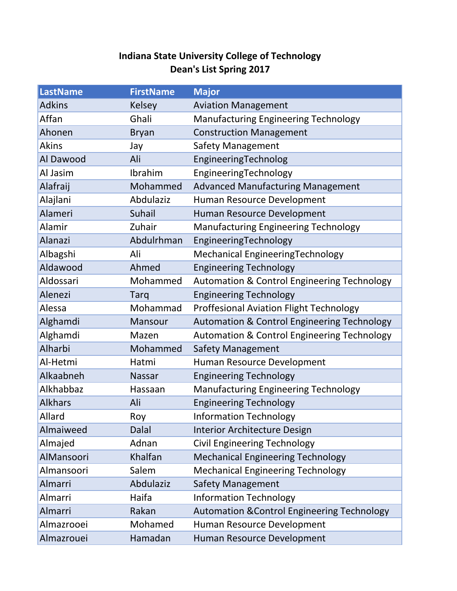## **Indiana State University College of Technology Dean's List Spring 2017**

| <b>LastName</b> | <b>FirstName</b> | <b>Major</b>                                           |
|-----------------|------------------|--------------------------------------------------------|
| <b>Adkins</b>   | <b>Kelsey</b>    | <b>Aviation Management</b>                             |
| Affan           | Ghali            | Manufacturing Engineering Technology                   |
| Ahonen          | <b>Bryan</b>     | <b>Construction Management</b>                         |
| <b>Akins</b>    | Jay              | Safety Management                                      |
| Al Dawood       | Ali              | EngineeringTechnolog                                   |
| Al Jasim        | Ibrahim          | EngineeringTechnology                                  |
| Alafraij        | Mohammed         | <b>Advanced Manufacturing Management</b>               |
| Alajlani        | Abdulaziz        | Human Resource Development                             |
| Alameri         | Suhail           | Human Resource Development                             |
| Alamir          | Zuhair           | <b>Manufacturing Engineering Technology</b>            |
| <b>Alanazi</b>  | Abdulrhman       | EngineeringTechnology                                  |
| Albagshi        | Ali              | Mechanical EngineeringTechnology                       |
| Aldawood        | Ahmed            | <b>Engineering Technology</b>                          |
| Aldossari       | Mohammed         | <b>Automation &amp; Control Engineering Technology</b> |
| Alenezi         | <b>Tarq</b>      | <b>Engineering Technology</b>                          |
| Alessa          | Mohammad         | <b>Proffesional Aviation Flight Technology</b>         |
| Alghamdi        | Mansour          | <b>Automation &amp; Control Engineering Technology</b> |
| Alghamdi        | Mazen            | <b>Automation &amp; Control Engineering Technology</b> |
| Alharbi         | Mohammed         | Safety Management                                      |
| Al-Hetmi        | Hatmi            | Human Resource Development                             |
| Alkaabneh       | <b>Nassar</b>    | <b>Engineering Technology</b>                          |
| Alkhabbaz       | Hassaan          | <b>Manufacturing Engineering Technology</b>            |
| <b>Alkhars</b>  | Ali              | <b>Engineering Technology</b>                          |
| Allard          | Roy              | <b>Information Technology</b>                          |
| Almaiweed       | <b>Dalal</b>     | Interior Architecture Design                           |
| Almajed         | Adnan            | <b>Civil Engineering Technology</b>                    |
| AlMansoori      | Khalfan          | <b>Mechanical Engineering Technology</b>               |
| Almansoori      | Salem            | <b>Mechanical Engineering Technology</b>               |
| Almarri         | Abdulaziz        | <b>Safety Management</b>                               |
| Almarri         | Haifa            | <b>Information Technology</b>                          |
| Almarri         | Rakan            | <b>Automation &amp; Control Engineering Technology</b> |
| Almazrooei      | Mohamed          | Human Resource Development                             |
| Almazrouei      | Hamadan          | Human Resource Development                             |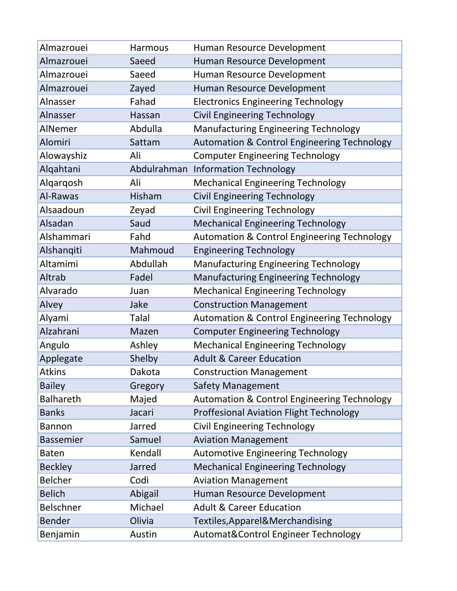| Almazrouei       | Harmous     | Human Resource Development                             |
|------------------|-------------|--------------------------------------------------------|
| Almazrouei       | Saeed       | Human Resource Development                             |
| Almazrouei       | Saeed       | Human Resource Development                             |
| Almazrouei       | Zayed       | Human Resource Development                             |
| Alnasser         | Fahad       | <b>Electronics Engineering Technology</b>              |
| Alnasser         | Hassan      | <b>Civil Engineering Technology</b>                    |
| AlNemer          | Abdulla     | <b>Manufacturing Engineering Technology</b>            |
| <b>Alomiri</b>   | Sattam      | <b>Automation &amp; Control Engineering Technology</b> |
| Alowayshiz       | Ali         | <b>Computer Engineering Technology</b>                 |
| Algahtani        | Abdulrahman | <b>Information Technology</b>                          |
| Algargosh        | Ali         | <b>Mechanical Engineering Technology</b>               |
| Al-Rawas         | Hisham      | <b>Civil Engineering Technology</b>                    |
| Alsaadoun        | Zeyad       | <b>Civil Engineering Technology</b>                    |
| Alsadan          | Saud        | <b>Mechanical Engineering Technology</b>               |
| Alshammari       | Fahd        | <b>Automation &amp; Control Engineering Technology</b> |
| Alshanqiti       | Mahmoud     | <b>Engineering Technology</b>                          |
| Altamimi         | Abdullah    | <b>Manufacturing Engineering Technology</b>            |
| Altrab           | Fadel       | <b>Manufacturing Engineering Technology</b>            |
| Alvarado         | Juan        | <b>Mechanical Engineering Technology</b>               |
| Alvey            | Jake        | <b>Construction Management</b>                         |
| Alyami           | Talal       | <b>Automation &amp; Control Engineering Technology</b> |
| Alzahrani        | Mazen       | <b>Computer Engineering Technology</b>                 |
| Angulo           | Ashley      | <b>Mechanical Engineering Technology</b>               |
| Applegate        | Shelby      | <b>Adult &amp; Career Education</b>                    |
| Atkins           | Dakota      | <b>Construction Management</b>                         |
| <b>Bailey</b>    | Gregory     | <b>Safety Management</b>                               |
| <b>Balhareth</b> | Majed       | <b>Automation &amp; Control Engineering Technology</b> |
| <b>Banks</b>     | Jacari      | Proffesional Aviation Flight Technology                |
| <b>Bannon</b>    | Jarred      | <b>Civil Engineering Technology</b>                    |
| <b>Bassemier</b> | Samuel      | <b>Aviation Management</b>                             |
| <b>Baten</b>     | Kendall     | <b>Automotive Engineering Technology</b>               |
| <b>Beckley</b>   | Jarred      | <b>Mechanical Engineering Technology</b>               |
| <b>Belcher</b>   | Codi        | <b>Aviation Management</b>                             |
| <b>Belich</b>    | Abigail     | Human Resource Development                             |
| <b>Belschner</b> | Michael     | <b>Adult &amp; Career Education</b>                    |
| <b>Bender</b>    | Olivia      | Textiles, Apparel & Merchandising                      |
| Benjamin         | Austin      | Automat&Control Engineer Technology                    |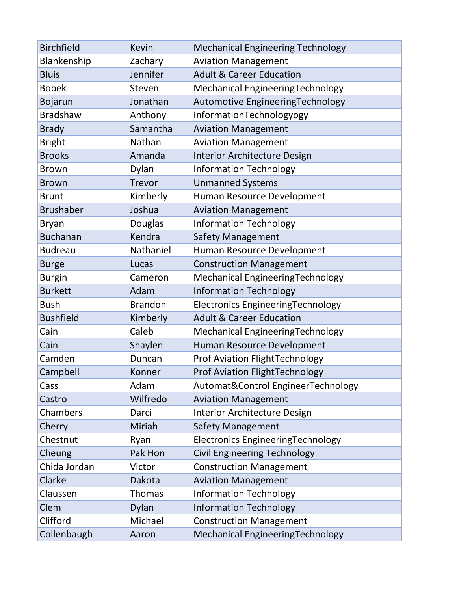| <b>Birchfield</b> | <b>Kevin</b>   | <b>Mechanical Engineering Technology</b> |
|-------------------|----------------|------------------------------------------|
| Blankenship       | Zachary        | <b>Aviation Management</b>               |
| <b>Bluis</b>      | Jennifer       | <b>Adult &amp; Career Education</b>      |
| <b>Bobek</b>      | Steven         | Mechanical EngineeringTechnology         |
| <b>Bojarun</b>    | Jonathan       | Automotive EngineeringTechnology         |
| <b>Bradshaw</b>   | Anthony        | InformationTechnologyogy                 |
| <b>Brady</b>      | Samantha       | <b>Aviation Management</b>               |
| <b>Bright</b>     | Nathan         | <b>Aviation Management</b>               |
| <b>Brooks</b>     | Amanda         | <b>Interior Architecture Design</b>      |
| <b>Brown</b>      | Dylan          | <b>Information Technology</b>            |
| <b>Brown</b>      | <b>Trevor</b>  | <b>Unmanned Systems</b>                  |
| <b>Brunt</b>      | Kimberly       | Human Resource Development               |
| <b>Brushaber</b>  | Joshua         | <b>Aviation Management</b>               |
| <b>Bryan</b>      | Douglas        | <b>Information Technology</b>            |
| <b>Buchanan</b>   | Kendra         | <b>Safety Management</b>                 |
| <b>Budreau</b>    | Nathaniel      | Human Resource Development               |
| <b>Burge</b>      | Lucas          | <b>Construction Management</b>           |
| <b>Burgin</b>     | Cameron        | Mechanical EngineeringTechnology         |
| <b>Burkett</b>    | Adam           | <b>Information Technology</b>            |
| <b>Bush</b>       | <b>Brandon</b> | <b>Electronics EngineeringTechnology</b> |
| <b>Bushfield</b>  | Kimberly       | <b>Adult &amp; Career Education</b>      |
| Cain              | Caleb          | Mechanical EngineeringTechnology         |
| Cain              | Shaylen        | Human Resource Development               |
| Camden            | Duncan         | <b>Prof Aviation FlightTechnology</b>    |
| Campbell          | Konner         | <b>Prof Aviation FlightTechnology</b>    |
| Cass              | Adam           | Automat&Control EngineerTechnology       |
| Castro            | Wilfredo       | <b>Aviation Management</b>               |
| Chambers          | Darci          | <b>Interior Architecture Design</b>      |
| Cherry            | Miriah         | <b>Safety Management</b>                 |
| Chestnut          | Ryan           | <b>Electronics EngineeringTechnology</b> |
| Cheung            | Pak Hon        | <b>Civil Engineering Technology</b>      |
| Chida Jordan      | Victor         | <b>Construction Management</b>           |
| Clarke            | Dakota         | <b>Aviation Management</b>               |
| Claussen          | <b>Thomas</b>  | <b>Information Technology</b>            |
| Clem              | Dylan          | <b>Information Technology</b>            |
| Clifford          | Michael        | <b>Construction Management</b>           |
| Collenbaugh       | Aaron          | Mechanical EngineeringTechnology         |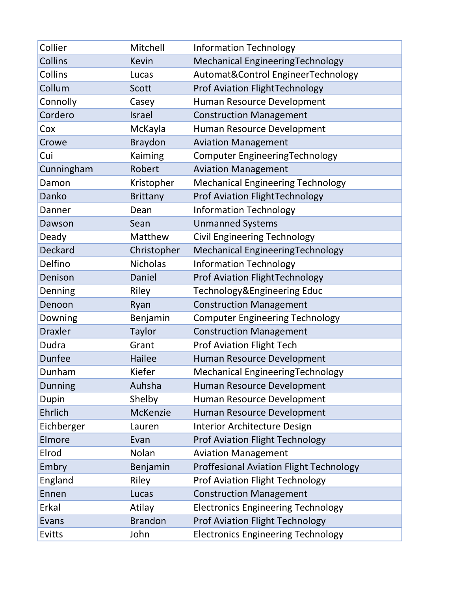| Collier        | Mitchell        | <b>Information Technology</b>                  |
|----------------|-----------------|------------------------------------------------|
| Collins        | <b>Kevin</b>    | Mechanical EngineeringTechnology               |
| Collins        | Lucas           | Automat&Control EngineerTechnology             |
| Collum         | Scott           | <b>Prof Aviation FlightTechnology</b>          |
| Connolly       | Casey           | Human Resource Development                     |
| Cordero        | Israel          | <b>Construction Management</b>                 |
| Cox            | McKayla         | Human Resource Development                     |
| Crowe          | <b>Braydon</b>  | <b>Aviation Management</b>                     |
| Cui            | Kaiming         | Computer EngineeringTechnology                 |
| Cunningham     | Robert          | <b>Aviation Management</b>                     |
| Damon          | Kristopher      | <b>Mechanical Engineering Technology</b>       |
| Danko          | <b>Brittany</b> | <b>Prof Aviation FlightTechnology</b>          |
| Danner         | Dean            | <b>Information Technology</b>                  |
| Dawson         | Sean            | <b>Unmanned Systems</b>                        |
| Deady          | Matthew         | <b>Civil Engineering Technology</b>            |
| Deckard        | Christopher     | <b>Mechanical EngineeringTechnology</b>        |
| Delfino        | <b>Nicholas</b> | <b>Information Technology</b>                  |
| Denison        | Daniel          | <b>Prof Aviation FlightTechnology</b>          |
| Denning        | Riley           | Technology&Engineering Educ                    |
| Denoon         | Ryan            | <b>Construction Management</b>                 |
| Downing        | Benjamin        | <b>Computer Engineering Technology</b>         |
| <b>Draxler</b> | <b>Taylor</b>   | <b>Construction Management</b>                 |
| Dudra          | Grant           | <b>Prof Aviation Flight Tech</b>               |
| Dunfee         | <b>Hailee</b>   | Human Resource Development                     |
| Dunham         | Kiefer          | Mechanical EngineeringTechnology               |
| Dunning        | Auhsha          | Human Resource Development                     |
| Dupin          | Shelby          | Human Resource Development                     |
| <b>Ehrlich</b> | <b>McKenzie</b> | Human Resource Development                     |
| Eichberger     | Lauren          | <b>Interior Architecture Design</b>            |
| Elmore         | Evan            | <b>Prof Aviation Flight Technology</b>         |
| Elrod          | Nolan           | <b>Aviation Management</b>                     |
| Embry          | Benjamin        | <b>Proffesional Aviation Flight Technology</b> |
| England        | Riley           | <b>Prof Aviation Flight Technology</b>         |
| Ennen          | Lucas           | <b>Construction Management</b>                 |
| Erkal          | Atilay          | <b>Electronics Engineering Technology</b>      |
| Evans          | <b>Brandon</b>  | <b>Prof Aviation Flight Technology</b>         |
| Evitts         | John            | <b>Electronics Engineering Technology</b>      |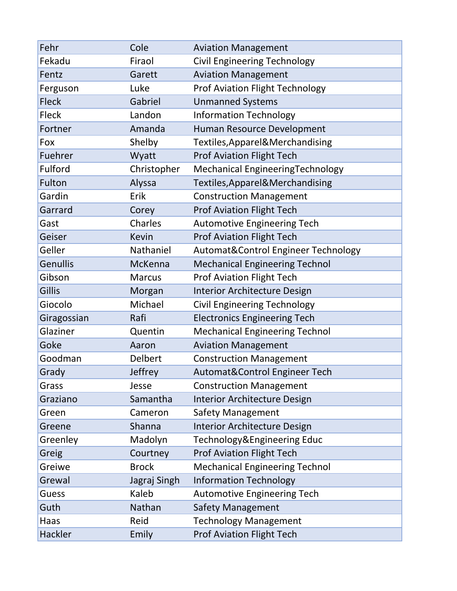| Fehr         | Cole           | <b>Aviation Management</b>             |
|--------------|----------------|----------------------------------------|
| Fekadu       | Firaol         | <b>Civil Engineering Technology</b>    |
| Fentz        | Garett         | <b>Aviation Management</b>             |
| Ferguson     | Luke           | <b>Prof Aviation Flight Technology</b> |
| <b>Fleck</b> | Gabriel        | <b>Unmanned Systems</b>                |
| <b>Fleck</b> | Landon         | <b>Information Technology</b>          |
| Fortner      | Amanda         | Human Resource Development             |
| Fox          | Shelby         | Textiles, Apparel& Merchandising       |
| Fuehrer      | Wyatt          | <b>Prof Aviation Flight Tech</b>       |
| Fulford      | Christopher    | Mechanical EngineeringTechnology       |
| Fulton       | Alyssa         | Textiles, Apparel& Merchandising       |
| Gardin       | Erik           | <b>Construction Management</b>         |
| Garrard      | Corey          | <b>Prof Aviation Flight Tech</b>       |
| Gast         | Charles        | <b>Automotive Engineering Tech</b>     |
| Geiser       | <b>Kevin</b>   | <b>Prof Aviation Flight Tech</b>       |
| Geller       | Nathaniel      | Automat&Control Engineer Technology    |
| Genullis     | McKenna        | <b>Mechanical Engineering Technol</b>  |
| Gibson       | <b>Marcus</b>  | <b>Prof Aviation Flight Tech</b>       |
| Gillis       | Morgan         | Interior Architecture Design           |
| Giocolo      | Michael        | <b>Civil Engineering Technology</b>    |
| Giragossian  | Rafi           | <b>Electronics Engineering Tech</b>    |
| Glaziner     | Quentin        | <b>Mechanical Engineering Technol</b>  |
| Goke         | Aaron          | <b>Aviation Management</b>             |
| Goodman      | <b>Delbert</b> | <b>Construction Management</b>         |
| Grady        | Jeffrey        | Automat&Control Engineer Tech          |
| Grass        | Jesse          | <b>Construction Management</b>         |
| Graziano     | Samantha       | <b>Interior Architecture Design</b>    |
| Green        | Cameron        | <b>Safety Management</b>               |
| Greene       | Shanna         | Interior Architecture Design           |
| Greenley     | Madolyn        | Technology&Engineering Educ            |
| Greig        | Courtney       | <b>Prof Aviation Flight Tech</b>       |
| Greiwe       | <b>Brock</b>   | <b>Mechanical Engineering Technol</b>  |
| Grewal       | Jagraj Singh   | <b>Information Technology</b>          |
| Guess        | Kaleb          | <b>Automotive Engineering Tech</b>     |
| Guth         | Nathan         | <b>Safety Management</b>               |
| Haas         | Reid           | <b>Technology Management</b>           |
| Hackler      | Emily          | <b>Prof Aviation Flight Tech</b>       |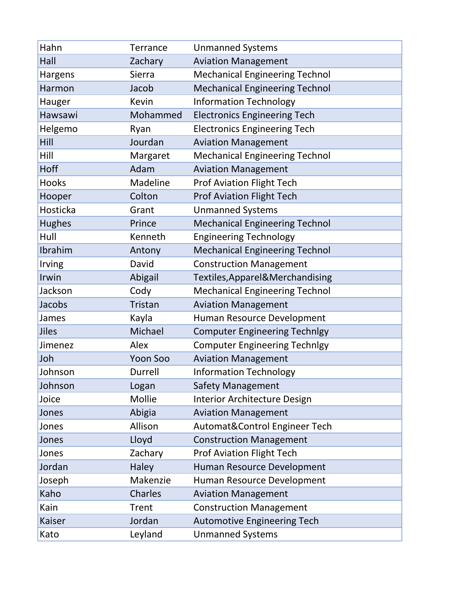| Hahn          | <b>Terrance</b> | <b>Unmanned Systems</b>               |
|---------------|-----------------|---------------------------------------|
| Hall          | Zachary         | <b>Aviation Management</b>            |
| Hargens       | Sierra          | <b>Mechanical Engineering Technol</b> |
| Harmon        | Jacob           | <b>Mechanical Engineering Technol</b> |
| Hauger        | Kevin           | <b>Information Technology</b>         |
| Hawsawi       | Mohammed        | <b>Electronics Engineering Tech</b>   |
| Helgemo       | Ryan            | <b>Electronics Engineering Tech</b>   |
| Hill          | Jourdan         | <b>Aviation Management</b>            |
| Hill          | Margaret        | <b>Mechanical Engineering Technol</b> |
| <b>Hoff</b>   | Adam            | <b>Aviation Management</b>            |
| <b>Hooks</b>  | Madeline        | <b>Prof Aviation Flight Tech</b>      |
| Hooper        | Colton          | <b>Prof Aviation Flight Tech</b>      |
| Hosticka      | Grant           | <b>Unmanned Systems</b>               |
| <b>Hughes</b> | Prince          | <b>Mechanical Engineering Technol</b> |
| Hull          | Kenneth         | <b>Engineering Technology</b>         |
| Ibrahim       | Antony          | <b>Mechanical Engineering Technol</b> |
| Irving        | David           | <b>Construction Management</b>        |
| Irwin         | Abigail         | Textiles, Apparel& Merchandising      |
| Jackson       | Cody            | <b>Mechanical Engineering Technol</b> |
| Jacobs        | <b>Tristan</b>  | <b>Aviation Management</b>            |
| James         | Kayla           | Human Resource Development            |
| <b>Jiles</b>  | Michael         | <b>Computer Engineering Technlgy</b>  |
| Jimenez       | Alex            | <b>Computer Engineering Technlgy</b>  |
| Joh           | <b>Yoon Soo</b> | <b>Aviation Management</b>            |
| Johnson       | Durrell         | <b>Information Technology</b>         |
| Johnson       | Logan           | <b>Safety Management</b>              |
| Joice         | Mollie          | Interior Architecture Design          |
| Jones         | Abigia          | <b>Aviation Management</b>            |
| Jones         | Allison         | Automat&Control Engineer Tech         |
| Jones         | Lloyd           | <b>Construction Management</b>        |
| Jones         | Zachary         | <b>Prof Aviation Flight Tech</b>      |
| Jordan        | <b>Haley</b>    | Human Resource Development            |
| Joseph        | Makenzie        | Human Resource Development            |
| Kaho          | Charles         | <b>Aviation Management</b>            |
| Kain          | Trent           | <b>Construction Management</b>        |
| Kaiser        | Jordan          | <b>Automotive Engineering Tech</b>    |
| Kato          | Leyland         | <b>Unmanned Systems</b>               |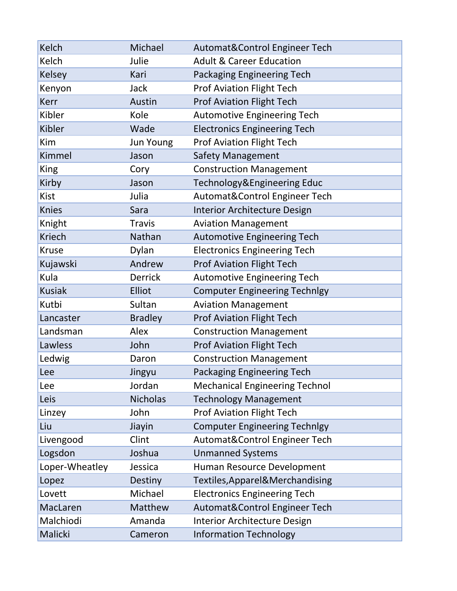| Kelch          | Michael          | Automat&Control Engineer Tech         |
|----------------|------------------|---------------------------------------|
| Kelch          | Julie            | <b>Adult &amp; Career Education</b>   |
| <b>Kelsey</b>  | Kari             | <b>Packaging Engineering Tech</b>     |
| Kenyon         | <b>Jack</b>      | <b>Prof Aviation Flight Tech</b>      |
| <b>Kerr</b>    | Austin           | <b>Prof Aviation Flight Tech</b>      |
| Kibler         | Kole             | <b>Automotive Engineering Tech</b>    |
| Kibler         | Wade             | <b>Electronics Engineering Tech</b>   |
| Kim            | <b>Jun Young</b> | <b>Prof Aviation Flight Tech</b>      |
| <b>Kimmel</b>  | Jason            | <b>Safety Management</b>              |
| <b>King</b>    | Cory             | <b>Construction Management</b>        |
| Kirby          | Jason            | Technology&Engineering Educ           |
| Kist           | Julia            | Automat&Control Engineer Tech         |
| <b>Knies</b>   | Sara             | <b>Interior Architecture Design</b>   |
| Knight         | <b>Travis</b>    | <b>Aviation Management</b>            |
| <b>Kriech</b>  | Nathan           | <b>Automotive Engineering Tech</b>    |
| <b>Kruse</b>   | Dylan            | <b>Electronics Engineering Tech</b>   |
| Kujawski       | Andrew           | <b>Prof Aviation Flight Tech</b>      |
| Kula           | <b>Derrick</b>   | <b>Automotive Engineering Tech</b>    |
| <b>Kusiak</b>  | Elliot           | <b>Computer Engineering Technlgy</b>  |
| Kutbi          | Sultan           | <b>Aviation Management</b>            |
| Lancaster      | <b>Bradley</b>   | <b>Prof Aviation Flight Tech</b>      |
| Landsman       | Alex             | <b>Construction Management</b>        |
| Lawless        | John             | <b>Prof Aviation Flight Tech</b>      |
| Ledwig         | Daron            | <b>Construction Management</b>        |
| Lee            | Jingyu           | Packaging Engineering Tech            |
| Lee            | Jordan           | <b>Mechanical Engineering Technol</b> |
| Leis           | <b>Nicholas</b>  | <b>Technology Management</b>          |
| Linzey         | John             | <b>Prof Aviation Flight Tech</b>      |
| Liu            | Jiayin           | <b>Computer Engineering Technlgy</b>  |
| Livengood      | Clint            | Automat&Control Engineer Tech         |
| Logsdon        | Joshua           | <b>Unmanned Systems</b>               |
| Loper-Wheatley | Jessica          | Human Resource Development            |
| Lopez          | Destiny          | Textiles, Apparel & Merchandising     |
| Lovett         | Michael          | <b>Electronics Engineering Tech</b>   |
| MacLaren       | Matthew          | Automat&Control Engineer Tech         |
| Malchiodi      | Amanda           | <b>Interior Architecture Design</b>   |
| Malicki        | Cameron          | <b>Information Technology</b>         |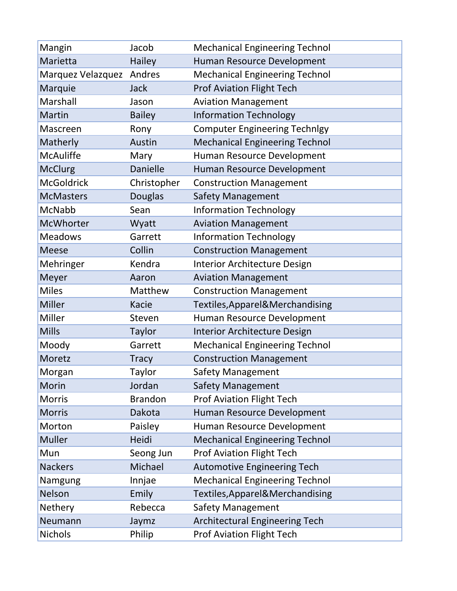| Mangin            | Jacob           | <b>Mechanical Engineering Technol</b> |
|-------------------|-----------------|---------------------------------------|
| Marietta          | Hailey          | Human Resource Development            |
| Marquez Velazquez | Andres          | <b>Mechanical Engineering Technol</b> |
| Marquie           | <b>Jack</b>     | <b>Prof Aviation Flight Tech</b>      |
| Marshall          | Jason           | <b>Aviation Management</b>            |
| <b>Martin</b>     | <b>Bailey</b>   | <b>Information Technology</b>         |
| Mascreen          | Rony            | <b>Computer Engineering Technlgy</b>  |
| Matherly          | Austin          | <b>Mechanical Engineering Technol</b> |
| <b>McAuliffe</b>  | Mary            | Human Resource Development            |
| <b>McClurg</b>    | <b>Danielle</b> | Human Resource Development            |
| <b>McGoldrick</b> | Christopher     | <b>Construction Management</b>        |
| <b>McMasters</b>  | <b>Douglas</b>  | <b>Safety Management</b>              |
| <b>McNabb</b>     | Sean            | <b>Information Technology</b>         |
| <b>McWhorter</b>  | Wyatt           | <b>Aviation Management</b>            |
| <b>Meadows</b>    | Garrett         | <b>Information Technology</b>         |
| <b>Meese</b>      | Collin          | <b>Construction Management</b>        |
| Mehringer         | Kendra          | <b>Interior Architecture Design</b>   |
| Meyer             | Aaron           | <b>Aviation Management</b>            |
| <b>Miles</b>      | Matthew         | <b>Construction Management</b>        |
| <b>Miller</b>     | <b>Kacie</b>    | Textiles, Apparel & Merchandising     |
| Miller            | Steven          | Human Resource Development            |
| <b>Mills</b>      | <b>Taylor</b>   | <b>Interior Architecture Design</b>   |
| Moody             | Garrett         | <b>Mechanical Engineering Technol</b> |
| Moretz            | <b>Tracy</b>    | <b>Construction Management</b>        |
| Morgan            | Taylor          | Safety Management                     |
| Morin             | Jordan          | <b>Safety Management</b>              |
| <b>Morris</b>     | <b>Brandon</b>  | <b>Prof Aviation Flight Tech</b>      |
| <b>Morris</b>     | Dakota          | Human Resource Development            |
| Morton            | Paisley         | Human Resource Development            |
| <b>Muller</b>     | Heidi           | <b>Mechanical Engineering Technol</b> |
| Mun               | Seong Jun       | <b>Prof Aviation Flight Tech</b>      |
| <b>Nackers</b>    | Michael         | <b>Automotive Engineering Tech</b>    |
| Namgung           | Innjae          | <b>Mechanical Engineering Technol</b> |
| <b>Nelson</b>     | Emily           | Textiles, Apparel& Merchandising      |
| Nethery           | Rebecca         | <b>Safety Management</b>              |
| Neumann           | Jaymz           | <b>Architectural Engineering Tech</b> |
| Nichols           | Philip          | <b>Prof Aviation Flight Tech</b>      |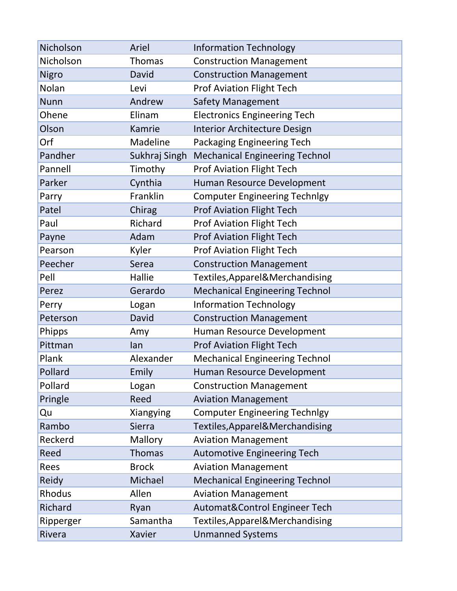| Nicholson   | Ariel         | <b>Information Technology</b>         |
|-------------|---------------|---------------------------------------|
| Nicholson   | <b>Thomas</b> | <b>Construction Management</b>        |
| Nigro       | David         | <b>Construction Management</b>        |
| Nolan       | Levi          | <b>Prof Aviation Flight Tech</b>      |
| <b>Nunn</b> | Andrew        | <b>Safety Management</b>              |
| Ohene       | Elinam        | <b>Electronics Engineering Tech</b>   |
| Olson       | Kamrie        | <b>Interior Architecture Design</b>   |
| Orf         | Madeline      | Packaging Engineering Tech            |
| Pandher     | Sukhraj Singh | <b>Mechanical Engineering Technol</b> |
| Pannell     | Timothy       | <b>Prof Aviation Flight Tech</b>      |
| Parker      | Cynthia       | Human Resource Development            |
| Parry       | Franklin      | <b>Computer Engineering Technlgy</b>  |
| Patel       | Chirag        | <b>Prof Aviation Flight Tech</b>      |
| Paul        | Richard       | <b>Prof Aviation Flight Tech</b>      |
| Payne       | Adam          | <b>Prof Aviation Flight Tech</b>      |
| Pearson     | Kyler         | <b>Prof Aviation Flight Tech</b>      |
| Peecher     | Serea         | <b>Construction Management</b>        |
| Pell        | <b>Hallie</b> | Textiles, Apparel & Merchandising     |
| Perez       | Gerardo       | <b>Mechanical Engineering Technol</b> |
| Perry       | Logan         | <b>Information Technology</b>         |
| Peterson    | David         | <b>Construction Management</b>        |
| Phipps      | Amy           | Human Resource Development            |
| Pittman     | lan           | <b>Prof Aviation Flight Tech</b>      |
| Plank       | Alexander     | <b>Mechanical Engineering Technol</b> |
| Pollard     | Emily         | Human Resource Development            |
| Pollard     | Logan         | <b>Construction Management</b>        |
| Pringle     | Reed          | <b>Aviation Management</b>            |
| Qu          | Xiangying     | <b>Computer Engineering Technlgy</b>  |
| Rambo       | <b>Sierra</b> | Textiles, Apparel & Merchandising     |
| Reckerd     | Mallory       | <b>Aviation Management</b>            |
| Reed        | <b>Thomas</b> | <b>Automotive Engineering Tech</b>    |
| Rees        | <b>Brock</b>  | <b>Aviation Management</b>            |
| Reidy       | Michael       | <b>Mechanical Engineering Technol</b> |
| Rhodus      | Allen         | <b>Aviation Management</b>            |
| Richard     | Ryan          | Automat&Control Engineer Tech         |
| Ripperger   | Samantha      | Textiles, Apparel & Merchandising     |
| Rivera      | Xavier        | <b>Unmanned Systems</b>               |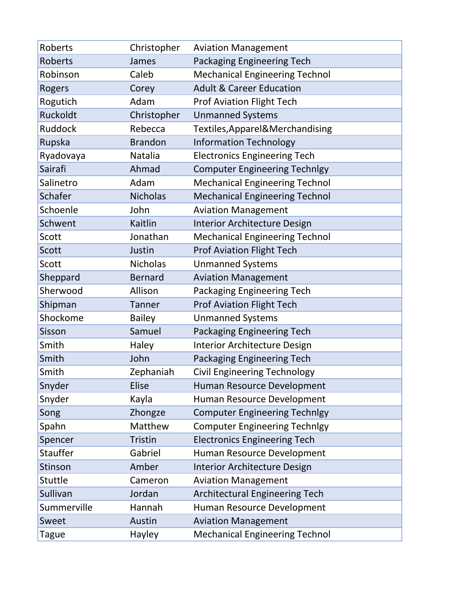| <b>Roberts</b>  | Christopher     | <b>Aviation Management</b>            |
|-----------------|-----------------|---------------------------------------|
| Roberts         | James           | <b>Packaging Engineering Tech</b>     |
| Robinson        | Caleb           | <b>Mechanical Engineering Technol</b> |
| Rogers          | Corey           | <b>Adult &amp; Career Education</b>   |
| Rogutich        | Adam            | <b>Prof Aviation Flight Tech</b>      |
| Ruckoldt        | Christopher     | <b>Unmanned Systems</b>               |
| <b>Ruddock</b>  | Rebecca         | Textiles, Apparel & Merchandising     |
| Rupska          | <b>Brandon</b>  | <b>Information Technology</b>         |
| Ryadovaya       | Natalia         | <b>Electronics Engineering Tech</b>   |
| Sairafi         | Ahmad           | <b>Computer Engineering Technlgy</b>  |
| Salinetro       | Adam            | <b>Mechanical Engineering Technol</b> |
| Schafer         | <b>Nicholas</b> | <b>Mechanical Engineering Technol</b> |
| Schoenle        | John            | <b>Aviation Management</b>            |
| Schwent         | Kaitlin         | <b>Interior Architecture Design</b>   |
| Scott           | Jonathan        | <b>Mechanical Engineering Technol</b> |
| Scott           | Justin          | <b>Prof Aviation Flight Tech</b>      |
| Scott           | <b>Nicholas</b> | <b>Unmanned Systems</b>               |
| Sheppard        | <b>Bernard</b>  | <b>Aviation Management</b>            |
| Sherwood        | Allison         | Packaging Engineering Tech            |
| Shipman         | <b>Tanner</b>   | <b>Prof Aviation Flight Tech</b>      |
| Shockome        | <b>Bailey</b>   | <b>Unmanned Systems</b>               |
| Sisson          | Samuel          | Packaging Engineering Tech            |
| Smith           | Haley           | <b>Interior Architecture Design</b>   |
| Smith           | John            | <b>Packaging Engineering Tech</b>     |
| Smith           | Zephaniah       | Civil Engineering Technology          |
| Snyder          | <b>Elise</b>    | Human Resource Development            |
| Snyder          | Kayla           | Human Resource Development            |
| Song            | Zhongze         | <b>Computer Engineering Technlgy</b>  |
| Spahn           | Matthew         | <b>Computer Engineering Technlgy</b>  |
| Spencer         | <b>Tristin</b>  | <b>Electronics Engineering Tech</b>   |
| <b>Stauffer</b> | Gabriel         | Human Resource Development            |
| Stinson         | Amber           | <b>Interior Architecture Design</b>   |
| Stuttle         | Cameron         | <b>Aviation Management</b>            |
| Sullivan        | Jordan          | <b>Architectural Engineering Tech</b> |
| Summerville     | Hannah          | Human Resource Development            |
| Sweet           | Austin          | <b>Aviation Management</b>            |
| Tague           | Hayley          | <b>Mechanical Engineering Technol</b> |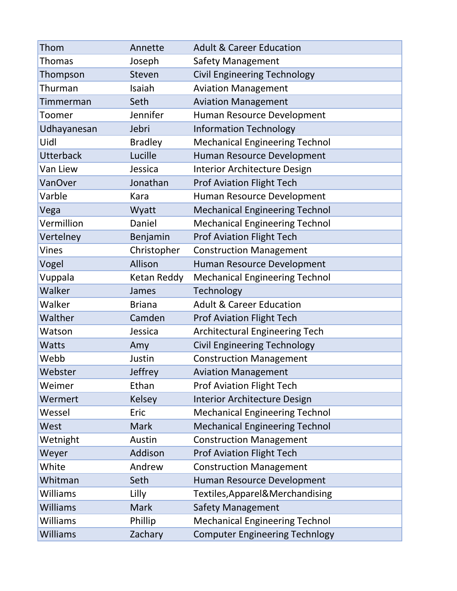| Thom             | Annette        | <b>Adult &amp; Career Education</b>   |
|------------------|----------------|---------------------------------------|
| Thomas           | Joseph         | Safety Management                     |
| Thompson         | Steven         | <b>Civil Engineering Technology</b>   |
| Thurman          | Isaiah         | <b>Aviation Management</b>            |
| Timmerman        | Seth           | <b>Aviation Management</b>            |
| Toomer           | Jennifer       | Human Resource Development            |
| Udhayanesan      | Jebri          | <b>Information Technology</b>         |
| Uidl             | <b>Bradley</b> | <b>Mechanical Engineering Technol</b> |
| <b>Utterback</b> | Lucille        | Human Resource Development            |
| Van Liew         | Jessica        | Interior Architecture Design          |
| <b>VanOver</b>   | Jonathan       | <b>Prof Aviation Flight Tech</b>      |
| Varble           | Kara           | Human Resource Development            |
| Vega             | Wyatt          | <b>Mechanical Engineering Technol</b> |
| Vermillion       | Daniel         | <b>Mechanical Engineering Technol</b> |
| Vertelney        | Benjamin       | <b>Prof Aviation Flight Tech</b>      |
| <b>Vines</b>     | Christopher    | <b>Construction Management</b>        |
| Vogel            | Allison        | Human Resource Development            |
| Vuppala          | Ketan Reddy    | <b>Mechanical Engineering Technol</b> |
| Walker           | James          | Technology                            |
| Walker           | <b>Briana</b>  | <b>Adult &amp; Career Education</b>   |
| Walther          | Camden         | <b>Prof Aviation Flight Tech</b>      |
| Watson           | Jessica        | <b>Architectural Engineering Tech</b> |
| <b>Watts</b>     | Amy            | <b>Civil Engineering Technology</b>   |
| Webb             | Justin         | <b>Construction Management</b>        |
| Webster          | Jeffrey        | <b>Aviation Management</b>            |
| Weimer           | Ethan          | <b>Prof Aviation Flight Tech</b>      |
| Wermert          | <b>Kelsey</b>  | <b>Interior Architecture Design</b>   |
| Wessel           | Eric           | <b>Mechanical Engineering Technol</b> |
| West             | <b>Mark</b>    | <b>Mechanical Engineering Technol</b> |
| Wetnight         | Austin         | <b>Construction Management</b>        |
| Weyer            | Addison        | <b>Prof Aviation Flight Tech</b>      |
| White            | Andrew         | <b>Construction Management</b>        |
| Whitman          | Seth           | Human Resource Development            |
| Williams         | Lilly          | Textiles, Apparel & Merchandising     |
| <b>Williams</b>  | <b>Mark</b>    | <b>Safety Management</b>              |
| Williams         | Phillip        | <b>Mechanical Engineering Technol</b> |
| <b>Williams</b>  | Zachary        | <b>Computer Engineering Technlogy</b> |